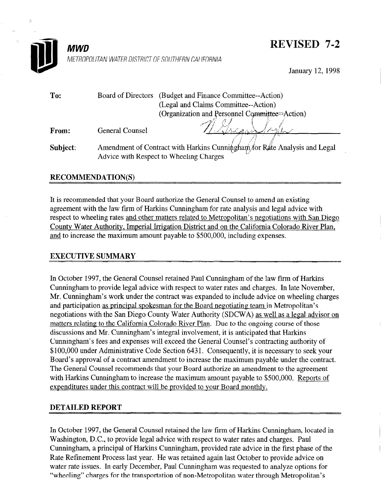

## **REVISED 7-2**

January 12,199s

| To:      | Board of Directors                                                        | (Budget and Finance Committee--Action)        |
|----------|---------------------------------------------------------------------------|-----------------------------------------------|
|          |                                                                           | (Legal and Claims Committee--Action)          |
|          |                                                                           | (Organization and Personnel Committee=Action) |
| From:    | <b>General Counsel</b>                                                    |                                               |
| Subject: | Amendment of Contract with Harkins Cunningham for Rate Analysis and Legal |                                               |
|          | Advice with Respect to Wheeling Charges                                   |                                               |

## RECOMMENDATION(S)

It is recommended that your Board authorize the General Counsel to amend an existing agreement with the law firm of Harkins Cunningham for rate analysis and legal advice with respect to wheeling rates and other matters related to Metropolitan's negotiations with San Diego Copport Water Author County Theorem County County Concerns the California Concernsion Colorado River Plan, California Colorado River Plan, California Colorado River Plan, California Colorado River Plan, California Colorado <u>County water runterly, imperial imgainer planter and on the Cambrina Color</u>

## EXECUTIVE SUMMARY

In October 1997, the General Counsel retained Paul Cunningham of the law firm of Harkins In October 1997, the Ocherar Counsel retained I advice unimigriant of the law fifth of Harkins Cunningham to provide legal advice with respect to water rates and charges. In late November, Mr. Cunningham's work under the contract was expanded to include advice on wheeling charges and participation as principal spokesman for the Board negotiating team in Metropolitan's negotiations with the San Diego County Water Authority (SDCWA) as well as a legal advisor on matters relating to the California Colorado River Plan. Due to the ongoing course of those discussions and Mr. Cunningham's integral involvement, it is anticipated that Harkins Cunningham's fees and expenses will exceed the General Counsel's contracting authority of \$100,000 under Administrative Code Section 6431. Consequently, it is necessary to seek your Board's approval of a contract amendment to increase the maximum payable under the contract. The General Counsel recommends that your Board authorize an amendment to the agreement with Harkins Cunningham to increase the maximum amount payable to \$500,000. Reports of expenditures under this contract will be provided to your Board monthly.

## **DETAILED REPORT**

In October 1997, the General Counsel retained the law firm of Harkins Cunningham, located in Washington, D.C., to provide legal advice with respect to water rates and charges. Paul Cunningham, a principal of Harkins Cunningham, provided rate advice in the first phase of the Rate Refinement Process last year. He was retained again last October to provide advice on water rate issues. In early December, Paul Cunningham was requested to analyze options for "wheeling" charges for the transportation of non-Metropolitan water through Metropolitan's